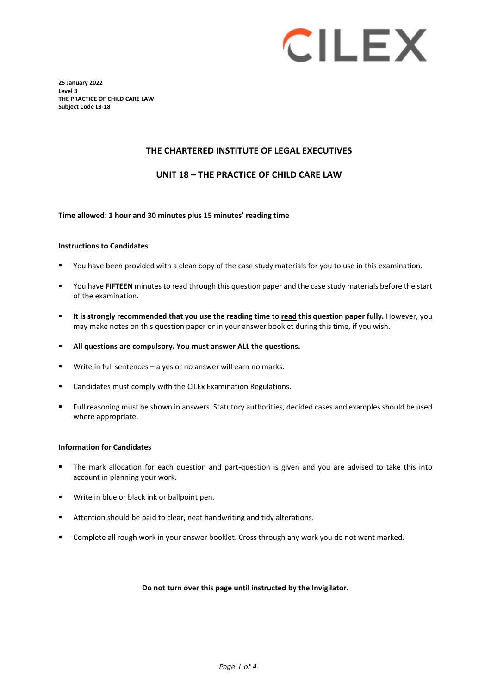# **CILEX**

**25 January 2022 Level 3 THE PRACTICE OF CHILD CARE LAW Subject Code L3-18**

#### **THE CHARTERED INSTITUTE OF LEGAL EXECUTIVES**

**UNIT 18 – THE PRACTICE OF CHILD CARE LAW** 

#### **Time allowed: 1 hour and 30 minutes plus 15 minutes' reading time**

#### **Instructions to Candidates**

- You have been provided with a clean copy of the case study materials for you to use in this examination.
- You have **FIFTEEN** minutes to read through this question paper and the case study materials before the start of the examination.
- **It is strongly recommended that you use the reading time to read this question paper fully.** However, you may make notes on this question paper or in your answer booklet during this time, if you wish.
- **All questions are compulsory. You must answer ALL the questions.**
- Write in full sentences a yes or no answer will earn no marks.
- Candidates must comply with the CILEx Examination Regulations.
- Full reasoning must be shown in answers. Statutory authorities, decided cases and examples should be used where appropriate.

#### **Information for Candidates**

- The mark allocation for each question and part-question is given and you are advised to take this into account in planning your work.
- **Write in blue or black ink or ballpoint pen.**
- Attention should be paid to clear, neat handwriting and tidy alterations.
- Complete all rough work in your answer booklet. Cross through any work you do not want marked.

#### **Do not turn over this page until instructed by the Invigilator.**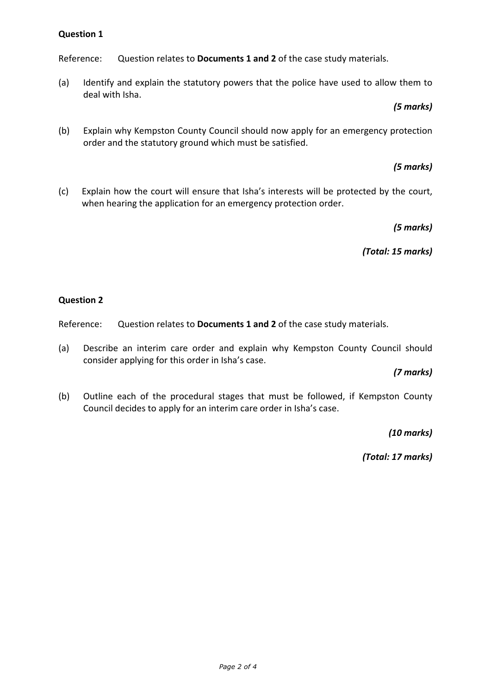# **Question 1**

Reference: Question relates to **Documents 1 and 2** of the case study materials.

(a) Identify and explain the statutory powers that the police have used to allow them to deal with Isha.

## *(5 marks)*

(b) Explain why Kempston County Council should now apply for an emergency protection order and the statutory ground which must be satisfied.

# *(5 marks)*

(c) Explain how the court will ensure that Isha's interests will be protected by the court, when hearing the application for an emergency protection order.

# *(5 marks)*

*(Total: 15 marks)*

#### **Question 2**

Reference: Question relates to **Documents 1 and 2** of the case study materials.

(a) Describe an interim care order and explain why Kempston County Council should consider applying for this order in Isha's case.

# *(7 marks)*

(b) Outline each of the procedural stages that must be followed, if Kempston County Council decides to apply for an interim care order in Isha's case.

*(10 marks)*

*(Total: 17 marks)*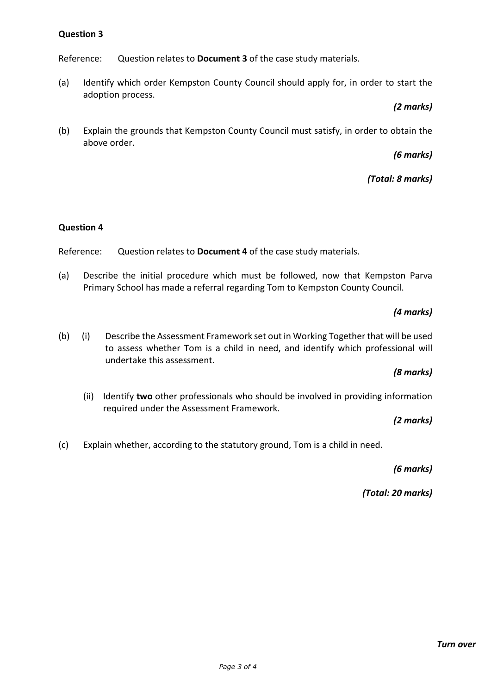# **Question 3**

Reference: Question relates to **Document 3** of the case study materials.

(a) Identify which order Kempston County Council should apply for, in order to start the adoption process.

## *(2 marks)*

(b) Explain the grounds that Kempston County Council must satisfy, in order to obtain the above order.

# *(6 marks)*

# *(Total: 8 marks)*

#### **Question 4**

Reference: Question relates to **Document 4** of the case study materials.

(a) Describe the initial procedure which must be followed, now that Kempston Parva Primary School has made a referral regarding Tom to Kempston County Council.

# *(4 marks)*

(b) (i) Describe the Assessment Framework set out in Working Together that will be used to assess whether Tom is a child in need, and identify which professional will undertake this assessment.

# *(8 marks)*

(ii) Identify **two** other professionals who should be involved in providing information required under the Assessment Framework.

#### *(2 marks)*

(c) Explain whether, according to the statutory ground, Tom is a child in need.

*(6 marks)* 

*(Total: 20 marks)*